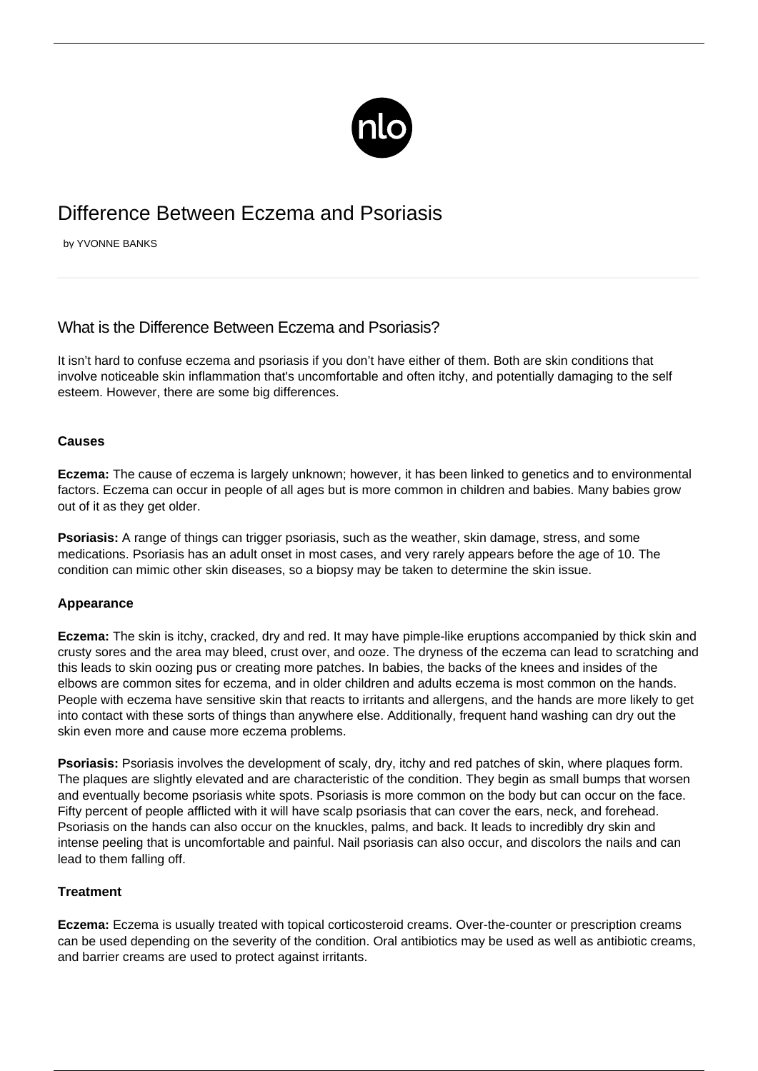

# Difference Between Eczema and Psoriasis

by YVONNE BANKS

## What is the Difference Between Eczema and Psoriasis?

It isn't hard to confuse eczema and psoriasis if you don't have either of them. Both are skin conditions that involve noticeable skin inflammation that's uncomfortable and often itchy, and potentially damaging to the self esteem. However, there are some big differences.

#### **Causes**

**Eczema:** The cause of eczema is largely unknown; however, it has been linked to genetics and to environmental factors. Eczema can occur in people of all ages but is more common in children and babies. Many babies grow out of it as they get older.

**Psoriasis:** A range of things can trigger psoriasis, such as the weather, skin damage, stress, and some medications. Psoriasis has an adult onset in most cases, and very rarely appears before the age of 10. The condition can mimic other skin diseases, so a biopsy may be taken to determine the skin issue.

### **Appearance**

**Eczema:** The skin is itchy, cracked, dry and red. It may have pimple-like eruptions accompanied by thick skin and crusty sores and the area may bleed, crust over, and ooze. The dryness of the eczema can lead to scratching and this leads to skin oozing pus or creating more patches. In babies, the backs of the knees and insides of the elbows are common sites for eczema, and in older children and adults eczema is most common on the hands. People with eczema have sensitive skin that reacts to irritants and allergens, and the hands are more likely to get into contact with these sorts of things than anywhere else. Additionally, frequent hand washing can dry out the skin even more and cause more eczema problems.

**Psoriasis:** Psoriasis involves the development of scaly, dry, itchy and red patches of skin, where plaques form. The plaques are slightly elevated and are characteristic of the condition. They begin as small bumps that worsen and eventually become [psoriasis white spots](/psoriasis-white-patches/). Psoriasis is more common on the body but can occur on the face. Fifty percent of people afflicted with it will have scalp psoriasis that can cover the ears, neck, and forehead. Psoriasis on the hands can also occur on the knuckles, palms, and back. It leads to incredibly dry skin and intense peeling that is uncomfortable and painful. Nail psoriasis can also occur, and discolors the nails and can lead to them falling off.

#### **Treatment**

**Eczema:** Eczema is usually treated with topical corticosteroid creams. Over-the-counter or prescription creams can be used depending on the severity of the condition. Oral antibiotics may be used as well as antibiotic creams, and barrier creams are used to protect against irritants.